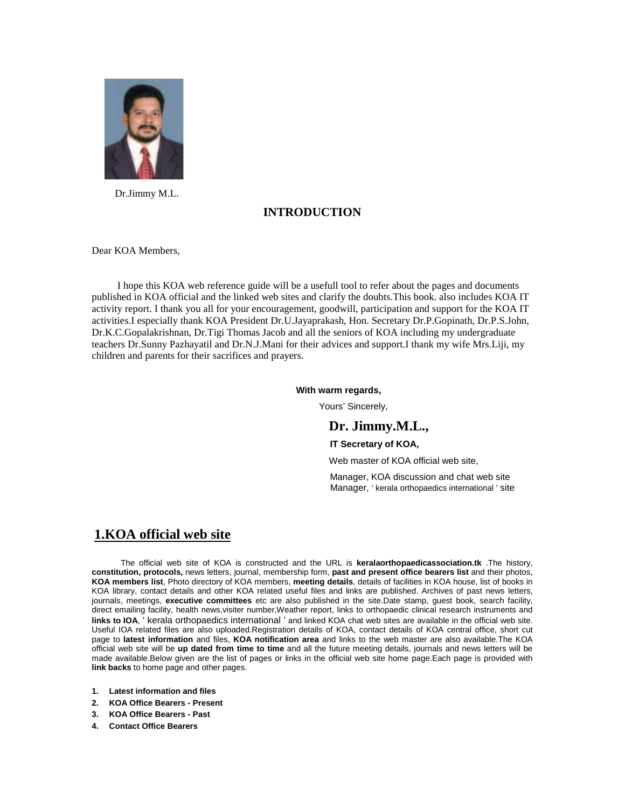

Dr.Jimmy M.L.

### **INTRODUCTION**

Dear KOA Members,

 I hope this KOA web reference guide will be a usefull tool to refer about the pages and documents published in KOA official and the linked web sites and clarify the doubts.This book. also includes KOA IT activity report. I thank you all for your encouragement, goodwill, participation and support for the KOA IT activities.I especially thank KOA President Dr.U.Jayaprakash, Hon. Secretary Dr.P.Gopinath, Dr.P.S.John, Dr.K.C.Gopalakrishnan, Dr.Tigi Thomas Jacob and all the seniors of KOA including my undergraduate teachers Dr.Sunny Pazhayatil and Dr.N.J.Mani for their advices and support.I thank my wife Mrs.Liji, my children and parents for their sacrifices and prayers.

#### **With warm regards,**

Yours' Sincerely,

### **Dr. Jimmy.M.L.,**

#### **IT Secretary of KOA,**

Web master of KOA official web site,

 Manager, KOA discussion and chat web site Manager, ' kerala orthopaedics international ' site

## **1.KOA official web site**

The official web site of KOA is constructed and the URL is **keralaorthopaedicassociation.tk** .The history, **constitution, protocols,** news letters, journal, membership form, **past and present office bearers list** and their photos, **KOA members list**, Photo directory of KOA members, **meeting details**, details of facilities in KOA house, list of books in KOA library, contact details and other KOA related useful files and links are published. Archives of past news letters, journals, meetings, **executive committees** etc are also published in the site.Date stamp, guest book, search facility, direct emailing facility, health news,visiter number,Weather report, links to orthopaedic clinical research instruments and **links to IOA**, ' kerala orthopaedics international ' and linked KOA chat web sites are available in the official web site. Useful IOA related files are also uploaded.Registration details of KOA, contact details of KOA central office, short cut page to **latest information** and files, **KOA notification area** and links to the web master are also available.The KOA official web site will be **up dated from time to time** and all the future meeting details, journals and news letters will be made available.Below given are the list of pages or links in the official web site home page.Each page is provided with **link backs** to home page and other pages.

- **1. Latest information and files**
- **2. KOA Office Bearers Present**
- **3. KOA Office Bearers Past**
- **4. Contact Office Bearers**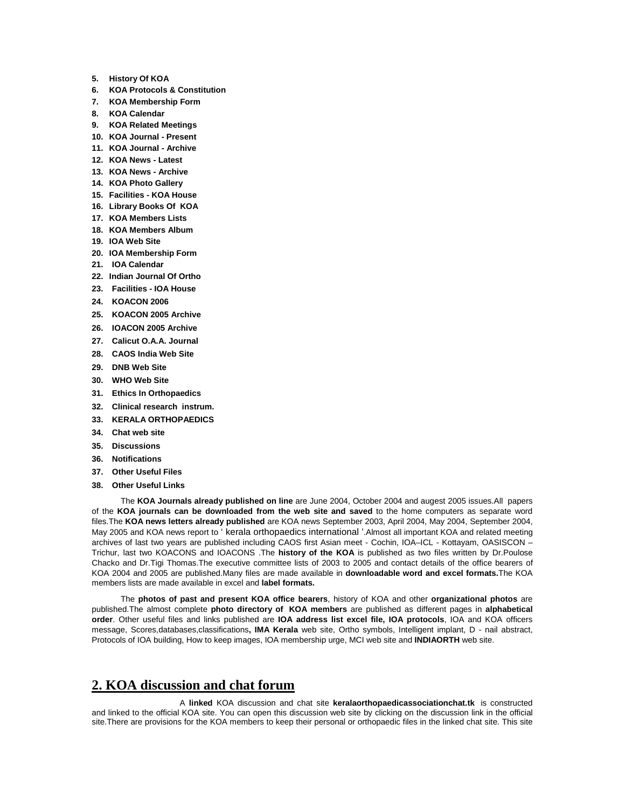- **5. History Of KOA**
- **6. KOA Protocols & Constitution**
- **7. KOA Membership Form**
- **8. KOA Calendar**
- **9. KOA Related Meetings**
- **10. KOA Journal Present**
- **11. KOA Journal Archive**
- **12. KOA News Latest**
- **13. KOA News Archive**
- **14. KOA Photo Gallery**
- **15. Facilities KOA House**
- **16. Library Books Of KOA**
- **17. KOA Members Lists**
- **18. KOA Members Album**
- **19. IOA Web Site**
- **20. IOA Membership Form**
- **21. IOA Calendar**
- **22. Indian Journal Of Ortho**
- **23. Facilities IOA House**
- **24. KOACON 2006**
- **25. KOACON 2005 Archive**
- **26. IOACON 2005 Archive**
- **27. Calicut O.A.A. Journal**
- **28. CAOS India Web Site**
- **29. DNB Web Site**
- **30. WHO Web Site**
- **31. Ethics In Orthopaedics**
- **32. Clinical research instrum.**
- **33. KERALA ORTHOPAEDICS**
- **34. Chat web site**
- **35. Discussions**
- **36. Notifications**
- **37. Other Useful Files**
- **38. Other Useful Links**

The **KOA Journals already published on line** are June 2004, October 2004 and augest 2005 issues.All papers of the **KOA journals can be downloaded from the web site and saved** to the home computers as separate word files.The **KOA news letters already published** are KOA news September 2003, April 2004, May 2004, September 2004, May 2005 and KOA news report to ' kerala orthopaedics international '.Almost all important KOA and related meeting archives of last two years are published including CAOS first Asian meet - Cochin, IOA–ICL - Kottayam, OASISCON – Trichur, last two KOACONS and IOACONS .The **history of the KOA** is published as two files written by Dr.Poulose Chacko and Dr.Tigi Thomas.The executive committee lists of 2003 to 2005 and contact details of the office bearers of KOA 2004 and 2005 are published.Many files are made available in **downloadable word and excel formats.**The KOA members lists are made available in excel and **label formats.** 

The **photos of past and present KOA office bearers**, history of KOA and other **organizational photos** are published.The almost complete **photo directory of KOA members** are published as different pages in **alphabetical order**. Other useful files and links published are **IOA address list excel file, IOA protocols**, IOA and KOA officers message, Scores,databases,classifications**, IMA Kerala** web site, Ortho symbols, Intelligent implant, D - nail abstract, Protocols of IOA building, How to keep images, IOA membership urge, MCI web site and **INDIAORTH** web site.

### **2. KOA discussion and chat forum**

 A **linked** KOA discussion and chat site **keralaorthopaedicassociationchat.tk** is constructed and linked to the official KOA site. You can open this discussion web site by clicking on the discussion link in the official site.There are provisions for the KOA members to keep their personal or orthopaedic files in the linked chat site. This site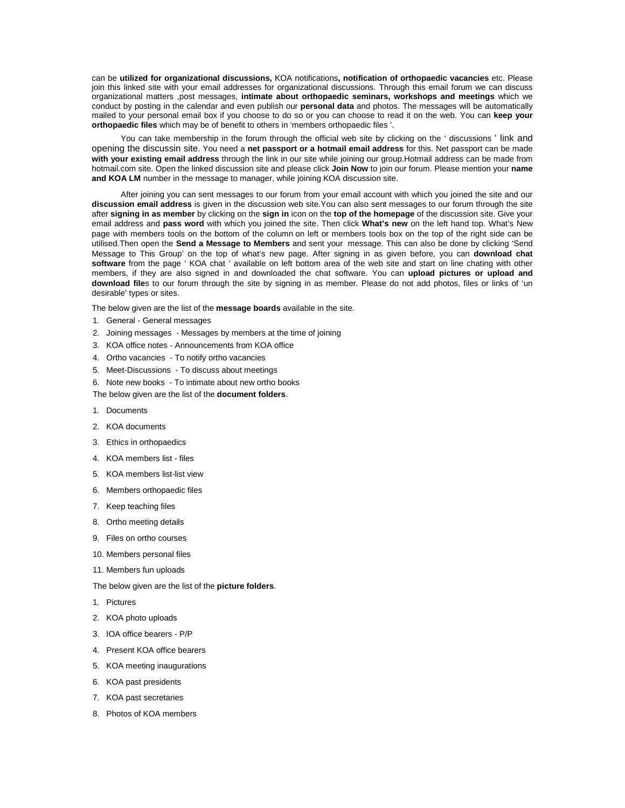can be **utilized for organizational discussions,** KOA notifications**, notification of orthopaedic vacancies** etc. Please join this linked site with your email addresses for organizational discussions. Through this email forum we can discuss organizational matters ,post messages, **intimate about orthopaedic seminars, workshops and meetings** which we conduct by posting in the calendar and even publish our **personal data** and photos. The messages will be automatically mailed to your personal email box if you choose to do so or you can choose to read it on the web. You can **keep your orthopaedic files** which may be of benefit to others in 'members orthopaedic files '.

You can take membership in the forum through the official web site by clicking on the ' discussions ' link and opening the discussin site. You need a **net passport or a hotmail email address** for this. Net passport can be made **with your existing email address** through the link in our site while joining our group.Hotmail address can be made from hotmail.com site. Open the linked discussion site and please click **Join Now** to join our forum. Please mention your **name and KOA LM** number in the message to manager, while joining KOA discussion site.

After joining you can sent messages to our forum from your email account with which you joined the site and our **discussion email address** is given in the discussion web site.You can also sent messages to our forum through the site after **signing in as member** by clicking on the **sign in** icon on the **top of the homepage** of the discussion site. Give your email address and **pass word** with which you joined the site. Then click **What's new** on the left hand top. What's New page with members tools on the bottom of the column on left or members tools box on the top of the right side can be utilised.Then open the **Send a Message to Members** and sent your message. This can also be done by clicking 'Send Message to This Group' on the top of what's new page. After signing in as given before, you can **download chat software** from the page ' KOA chat ' available on left bottom area of the web site and start on line chating with other members, if they are also signed in and downloaded the chat software. You can **upload pictures or upload and download file**s to our forum through the site by signing in as member. Please do not add photos, files or links of 'un desirable' types or sites.

The below given are the list of the **message boards** available in the site.

- 1. General General messages
- 2. Joining messages Messages by members at the time of joining
- 3. KOA office notes Announcements from KOA office
- 4. Ortho vacancies To notify ortho vacancies
- 5. Meet-Discussions To discuss about meetings
- 6. Note new books To intimate about new ortho books

The below given are the list of the **document folders**.

- 1. Documents
- 2. KOA documents
- 3. Ethics in orthopaedics
- 4. KOA members list files
- 5. KOA members list-list view
- 6. Members orthopaedic files
- 7. Keep teaching files
- 8. Ortho meeting details
- 9. Files on ortho courses
- 10. Members personal files
- 11. Members fun uploads

The below given are the list of the **picture folders**.

- 1. Pictures
- 2. KOA photo uploads
- 3. IOA office bearers P/P
- 4. Present KOA office bearers
- 5. KOA meeting inaugurations
- 6. KOA past presidents
- 7. KOA past secretaries
- 8. Photos of KOA members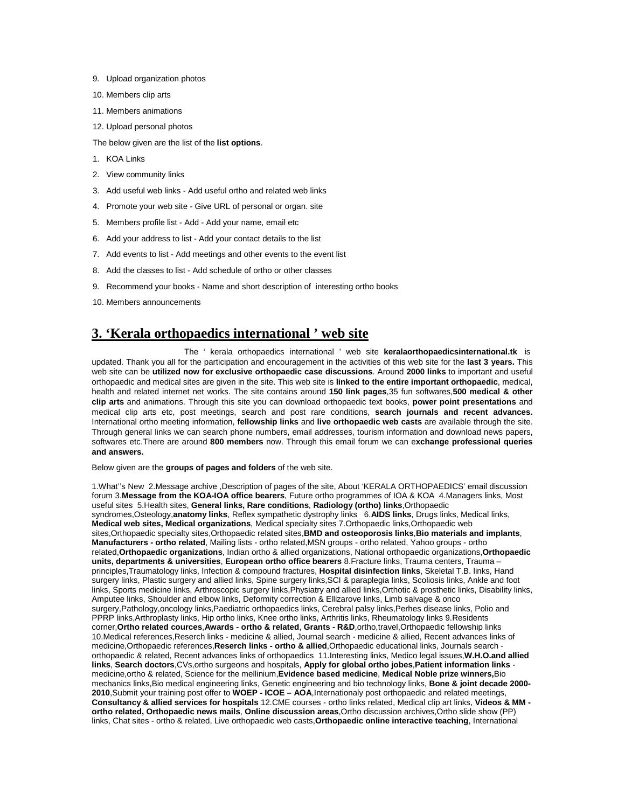- 9. Upload organization photos
- 10. Members clip arts
- 11. Members animations
- 12. Upload personal photos

The below given are the list of the **list options**.

- 1. KOA Links
- 2. View community links
- 3. Add useful web links Add useful ortho and related web links
- 4. Promote your web site Give URL of personal or organ. site
- 5. Members profile list Add Add your name, email etc
- 6. Add your address to list Add your contact details to the list
- 7. Add events to list Add meetings and other events to the event list
- 8. Add the classes to list Add schedule of ortho or other classes
- 9. Recommend your books Name and short description of interesting ortho books
- 10. Members announcements

### **3. 'Kerala orthopaedics international ' web site**

 The ' kerala orthopaedics international ' web site **keralaorthopaedicsinternational.tk** is updated. Thank you all for the participation and encouragement in the activities of this web site for the **last 3 years.** This web site can be **utilized now for exclusive orthopaedic case discussions**. Around **2000 links** to important and useful orthopaedic and medical sites are given in the site. This web site is **linked to the entire important orthopaedic**, medical, health and related internet net works. The site contains around **150 link pages**,35 fun softwares,**500 medical & other clip arts** and animations. Through this site you can download orthopaedic text books, **power point presentations** and medical clip arts etc, post meetings, search and post rare conditions, **search journals and recent advances.** International ortho meeting information, **fellowship links** and **live orthopaedic web casts** are available through the site. Through general links we can search phone numbers, email addresses, tourism information and download news papers, softwares etc.There are around **800 members** now. Through this email forum we can e**xchange professional queries and answers.**

Below given are the **groups of pages and folders** of the web site.

1.What''s New 2.Message archive ,Description of pages of the site, About 'KERALA ORTHOPAEDICS' email discussion forum 3.**Message from the KOA-IOA office bearers**, Future ortho programmes of IOA & KOA 4.Managers links, Most useful sites 5.Health sites, **General links, Rare conditions**, **Radiology (ortho) links**,Orthopaedic syndromes,Osteology,**anatomy links**, Reflex sympathetic dystrophy links 6.**AIDS links**, Drugs links, Medical links, **Medical web sites, Medical organizations**, Medical specialty sites 7.Orthopaedic links,Orthopaedic web sites,Orthopaedic specialty sites,Orthopaedic related sites,**BMD and osteoporosis links**,**Bio materials and implants**, **Manufacturers - ortho related**, Mailing lists - ortho related,MSN groups - ortho related, Yahoo groups - ortho related,**Orthopaedic organizations**, Indian ortho & allied organizations, National orthopaedic organizations,**Orthopaedic units, departments & universities**, **European ortho office bearers** 8.Fracture links, Trauma centers, Trauma – principles,Traumatology links, Infection & compound fractures, **Hospital disinfection links**, Skeletal T.B. links, Hand surgery links, Plastic surgery and allied links, Spine surgery links,SCI & paraplegia links, Scoliosis links, Ankle and foot links, Sports medicine links, Arthroscopic surgery links,Physiatry and allied links,Orthotic & prosthetic links, Disability links, Amputee links, Shoulder and elbow links, Deformity correction & Ellizarove links, Limb salvage & onco surgery,Pathology,oncology links,Paediatric orthopaedics links, Cerebral palsy links,Perhes disease links, Polio and PPRP links,Arthroplasty links, Hip ortho links, Knee ortho links, Arthritis links, Rheumatology links 9.Residents corner,**Ortho related cources**,**Awards - ortho & related**, **Grants - R&D**,ortho,travel,Orthopaedic fellowship links 10.Medical references,Reserch links - medicine & allied, Journal search - medicine & allied, Recent advances links of medicine,Orthopaedic references,**Reserch links - ortho & allied**,Orthopaedic educational links, Journals search orthopaedic & related, Recent advances links of orthopaedics 11.Interesting links, Medico legal issues,**W.H.O.and allied links**, **Search doctors**,CVs,ortho surgeons and hospitals, **Apply for global ortho jobes**,**Patient information links** medicine,ortho & related, Science for the mellinium,**Evidence based medicine**, **Medical Noble prize winners,**Bio mechanics links,Bio medical engineering links, Genetic engineering and bio technology links, **Bone & joint decade 2000- 2010**,Submit your training post offer to **WOEP - ICOE – AOA**,Internationaly post orthopaedic and related meetings, **Consultancy & allied services for hospitals** 12.CME courses - ortho links related, Medical clip art links, **Videos & MM ortho related, Orthopaedic news mails**, **Online discussion areas**,Ortho discussion archives,Ortho slide show (PP) links, Chat sites - ortho & related, Live orthopaedic web casts,**Orthopaedic online interactive teaching**, International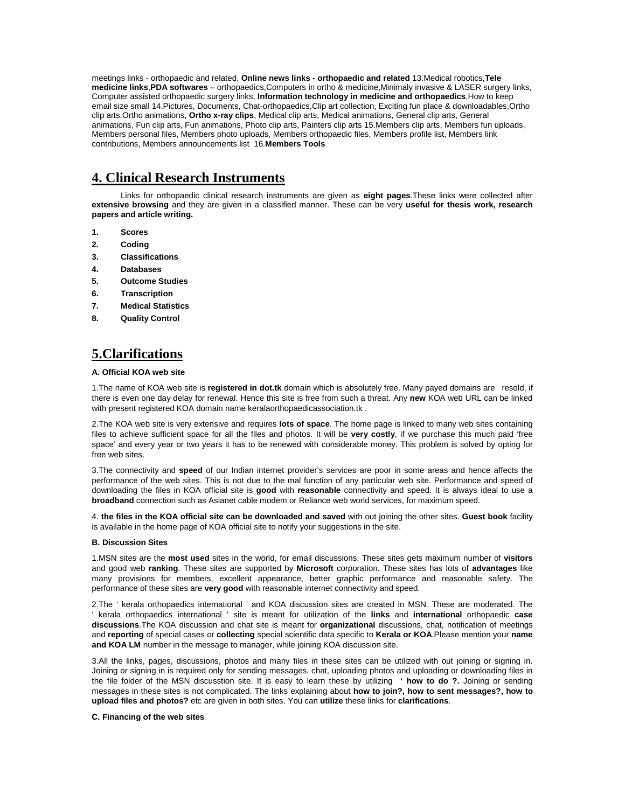meetings links - orthopaedic and related, **Online news links - orthopaedic and related** 13.Medical robotics,**Tele medicine links**,**PDA softwares** – orthopaedics,Computers in ortho & medicine,Minimaly invasive & LASER surgery links, Computer assisted orthopaedic surgery links, **Information technology in medicine and orthopaedics**,How to keep email size small 14.Pictures, Documents, Chat-orthopaedics,Clip art collection, Exciting fun place & downloadables,Ortho clip arts,Ortho animations, **Ortho x-ray clips**, Medical clip arts, Medical animations, General clip arts, General animations, Fun clip arts, Fun animations, Photo clip arts, Painters clip arts 15.Members clip arts, Members fun uploads, Members personal files, Members photo uploads, Members orthopaedic files, Members profile list, Members link contributions, Members announcements list 16.**Members Tools**

# **4. Clinical Research Instruments**

Links for orthopaedic clinical research instruments are given as **eight pages**.These links were collected after **extensive browsing** and they are given in a classified manner. These can be very **useful for thesis work, research papers and article writing.**

- **1. Scores**
- **2. Coding**
- **3. Classifications**
- **4. Databases**
- **5. Outcome Studies**
- **6. Transcription**
- **7. Medical Statistics**
- **8. Quality Control**

# **5.Clarifications**

#### **A. Official KOA web site**

1.The name of KOA web site is **registered in dot.tk** domain which is absolutely free. Many payed domains are resold, if there is even one day delay for renewal. Hence this site is free from such a threat. Any **new** KOA web URL can be linked with present registered KOA domain name keralaorthopaedicassociation.tk.

2.The KOA web site is very extensive and requires **lots of space**. The home page is linked to many web sites containing files to achieve sufficient space for all the files and photos. It will be **very costly**, if we purchase this much paid 'free space' and every year or two years it has to be renewed with considerable money. This problem is solved by opting for free web sites.

3.The connectivity and **speed** of our Indian internet provider's services are poor in some areas and hence affects the performance of the web sites. This is not due to the mal function of any particular web site. Performance and speed of downloading the files in KOA official site is **good** with **reasonable** connectivity and speed. It is always ideal to use a **broadband** connection such as Asianet cable modem or Reliance web world services, for maximum speed.

4. **the files in the KOA official site can be downloaded and saved** with out joining the other sites. **Guest book** facility is available in the home page of KOA official site to notify your suggestions in the site.

#### **B. Discussion Sites**

1.MSN sites are the **most used** sites in the world, for email discussions. These sites gets maximum number of **visitors**  and good web **ranking**. These sites are supported by **Microsoft** corporation. These sites has lots of **advantages** like many provisions for members, excellent appearance, better graphic performance and reasonable safety. The performance of these sites are **very good** with reasonable internet connectivity and speed.

2.The ' kerala orthopaedics international ' and KOA discussion sites are created in MSN. These are moderated. The ' kerala orthopaedics international ' site is meant for utilization of the **links** and **international** orthopaedic **case discussions**.The KOA discussion and chat site is meant for **organizational** discussions, chat, notification of meetings and **reporting** of special cases or **collecting** special scientific data specific to **Kerala or KOA**.Please mention your **name and KOA LM** number in the message to manager, while joining KOA discussion site.

3.All the links, pages, discussions, photos and many files in these sites can be utilized with out joining or signing in. Joining or signing in is required only for sending messages, chat, uploading photos and uploading or downloading files in the file folder of the MSN discusstion site. It is easy to learn these by utilizing **' how to do ?.** Joining or sending messages in these sites is not complicated. The links explaining about **how to join?, how to sent messages?, how to upload files and photos?** etc are given in both sites. You can **utilize** these links for **clarifications**.

#### **C. Financing of the web sites**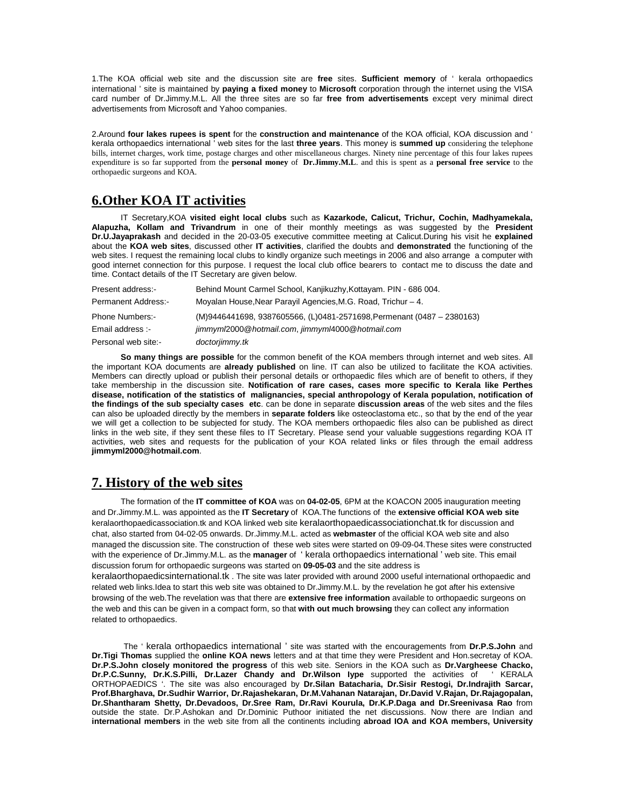1.The KOA official web site and the discussion site are **free** sites. **Sufficient memory** of ' kerala orthopaedics international ' site is maintained by **paying a fixed money** to **Microsoft** corporation through the internet using the VISA card number of Dr.Jimmy.M.L. All the three sites are so far **free from advertisements** except very minimal direct advertisements from Microsoft and Yahoo companies.

2.Around **four lakes rupees is spent** for the **construction and maintenance** of the KOA official, KOA discussion and ' kerala orthopaedics international ' web sites for the last **three years**. This money is **summed up** considering the telephone bills, internet charges, work time, postage charges and other miscellaneous charges. Ninety nine percentage of this four lakes rupees expenditure is so far supported from the **personal money** of **Dr.Jimmy.M.L**. and this is spent as a **personal free service** to the orthopaedic surgeons and KOA.

## **6.Other KOA IT activities**

IT Secretary,KOA **visited eight local clubs** such as **Kazarkode, Calicut, Trichur, Cochin, Madhyamekala, Alapuzha, Kollam and Trivandrum** in one of their monthly meetings as was suggested by the **President Dr.U.Jayaprakash** and decided in the 20-03-05 executive committee meeting at Calicut.During his visit he **explained** about the **KOA web sites**, discussed other **IT activities**, clarified the doubts and **demonstrated** the functioning of the web sites. I request the remaining local clubs to kindly organize such meetings in 2006 and also arrange a computer with good internet connection for this purpose. I request the local club office bearers to contact me to discuss the date and time. Contact details of the IT Secretary are given below.

| Present address:-      | Behind Mount Carmel School, Kanjikuzhy, Kottayam. PIN - 686 004.       |
|------------------------|------------------------------------------------------------------------|
| Permanent Address:-    | Moyalan House, Near Parayil Agencies, M.G. Road, Trichur - 4.          |
| <b>Phone Numbers:-</b> | (M)9446441698, 9387605566, (L)0481-2571698, Permenant (0487 - 2380163) |
| Email address :-       | jimmyml2000@hotmail.com, jimmyml4000@hotmail.com                       |
| Personal web site:-    | doctorjimmy.tk                                                         |

**So many things are possible** for the common benefit of the KOA members through internet and web sites. All the important KOA documents are **already published** on line. IT can also be utilized to facilitate the KOA activities. Members can directly upload or publish their personal details or orthopaedic files which are of benefit to others, if they take membership in the discussion site. **Notification of rare cases, cases more specific to Kerala like Perthes disease, notification of the statistics of malignancies, special anthropology of Kerala population, notification of the findings of the sub specialty cases etc**. can be done in separate **discussion areas** of the web sites and the files can also be uploaded directly by the members in **separate folders** like osteoclastoma etc., so that by the end of the year we will get a collection to be subjected for study. The KOA members orthopaedic files also can be published as direct links in the web site, if they sent these files to IT Secretary. Please send your valuable suggestions regarding KOA IT activities, web sites and requests for the publication of your KOA related links or files through the email address **jimmyml2000@hotmail.com**.

## **7. History of the web sites**

related to orthopaedics.

The formation of the **IT committee of KOA** was on **04-02-05**, 6PM at the KOACON 2005 inauguration meeting and Dr.Jimmy.M.L. was appointed as the **IT Secretary** of KOA.The functions of the **extensive official KOA web site** keralaorthopaedicassociation.tk and KOA linked web site keralaorthopaedicassociationchat.tk for discussion and chat, also started from 04-02-05 onwards. Dr.Jimmy.M.L. acted as **webmaster** of the official KOA web site and also managed the discussion site. The construction of these web sites were started on 09-09-04.These sites were constructed with the experience of Dr.Jimmy.M.L. as the **manager** of ' kerala orthopaedics international ' web site. This email discussion forum for orthopaedic surgeons was started on **09-05-03** and the site address is keralaorthopaedicsinternational.tk . The site was later provided with around 2000 useful international orthopaedic and related web links.Idea to start this web site was obtained to Dr.Jimmy.M.L. by the revelation he got after his extensive browsing of the web.The revelation was that there are **extensive free information** available to orthopaedic surgeons on the web and this can be given in a compact form, so that **with out much browsing** they can collect any information

 The ' kerala orthopaedics international ' site was started with the encouragements from **Dr.P.S.John** and **Dr.Tigi Thomas** supplied the **online KOA news** letters and at that time they were President and Hon.secretay of KOA. **Dr.P.S.John closely monitored the progress** of this web site. Seniors in the KOA such as **Dr.Vargheese Chacko,**  Dr.P.C.Sunny, Dr.K.S.Pilli, Dr.Lazer Chandy and Dr.Wilson Iype supported the activities of ORTHOPAEDICS '. The site was also encouraged by **Dr.Silan Batacharia, Dr.Sisir Restogi, Dr.Indrajith Sarcar, Prof.Bharghava, Dr.Sudhir Warrior, Dr.Rajashekaran, Dr.M.Vahanan Natarajan, Dr.David V.Rajan, Dr.Rajagopalan, Dr.Shantharam Shetty, Dr.Devadoos, Dr.Sree Ram, Dr.Ravi Kourula, Dr.K.P.Daga and Dr.Sreenivasa Rao** from outside the state. Dr.P.Ashokan and Dr.Dominic Puthoor initiated the net discussions. Now there are Indian and **international members** in the web site from all the continents including **abroad IOA and KOA members, University**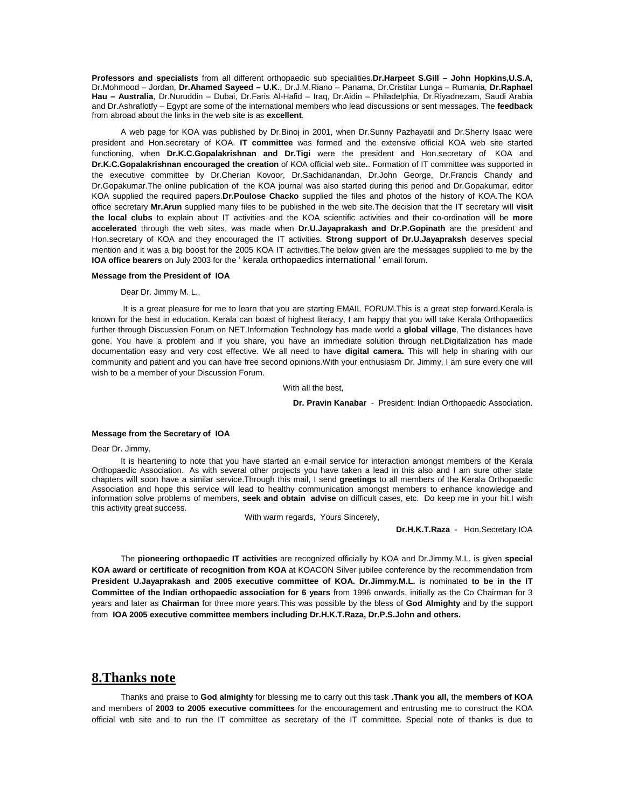**Professors and specialists** from all different orthopaedic sub specialities.**Dr.Harpeet S.Gill – John Hopkins,U.S.A**, Dr.Mohmood – Jordan, **Dr.Ahamed Sayeed – U.K.**, Dr.J.M.Riano – Panama, Dr.Cristitar Lunga – Rumania, **Dr.Raphael Hau – Australia**, Dr.Nuruddin – Dubai, Dr.Faris Al-Hafid – Iraq, Dr.Aidin – Philadelphia, Dr.Riyadnezam, Saudi Arabia and Dr.Ashraflotfy – Egypt are some of the international members who lead discussions or sent messages. The **feedback** from abroad about the links in the web site is as **excellent**.

A web page for KOA was published by Dr.Binoj in 2001, when Dr.Sunny Pazhayatil and Dr.Sherry Isaac were president and Hon.secretary of KOA. **IT committee** was formed and the extensive official KOA web site started functioning, when **Dr.K.C.Gopalakrishnan and Dr.Tigi** were the president and Hon.secretary of KOA and **Dr.K.C.Gopalakrishnan encouraged the creation** of KOA official web site**.**. Formation of IT committee was supported in the executive committee by Dr.Cherian Kovoor, Dr.Sachidanandan, Dr.John George, Dr.Francis Chandy and Dr.Gopakumar.The online publication of the KOA journal was also started during this period and Dr.Gopakumar, editor KOA supplied the required papers.**Dr.Poulose Chacko** supplied the files and photos of the history of KOA.The KOA office secretary **Mr.Arun** supplied many files to be published in the web site.The decision that the IT secretary will **visit the local clubs** to explain about IT activities and the KOA scientific activities and their co-ordination will be **more accelerated** through the web sites, was made when **Dr.U.Jayaprakash and Dr.P.Gopinath** are the president and Hon.secretary of KOA and they encouraged the IT activities. **Strong support of Dr.U.Jayapraksh** deserves special mention and it was a big boost for the 2005 KOA IT activities.The below given are the messages supplied to me by the **IOA office bearers** on July 2003 for the ' kerala orthopaedics international ' email forum.

#### **Message from the President of IOA**

Dear Dr. Jimmy M. L.,

It is a great pleasure for me to learn that you are starting EMAIL FORUM.This is a great step forward.Kerala is known for the best in education. Kerala can boast of highest literacy, I am happy that you will take Kerala Orthopaedics further through Discussion Forum on NET.Information Technology has made world a **global village**, The distances have gone. You have a problem and if you share, you have an immediate solution through net.Digitalization has made documentation easy and very cost effective. We all need to have **digital camera.** This will help in sharing with our community and patient and you can have free second opinions.With your enthusiasm Dr. Jimmy, I am sure every one will wish to be a member of your Discussion Forum.

With all the best,

**Dr. Pravin Kanabar** - President: Indian Orthopaedic Association.

#### **Message from the Secretary of IOA**

#### Dear Dr. Jimmy,

It is heartening to note that you have started an e-mail service for interaction amongst members of the Kerala Orthopaedic Association. As with several other projects you have taken a lead in this also and I am sure other state chapters will soon have a similar service.Through this mail, I send **greetings** to all members of the Kerala Orthopaedic Association and hope this service will lead to healthy communication amongst members to enhance knowledge and information solve problems of members, **seek and obtain advise** on difficult cases, etc. Do keep me in your hit.I wish this activity great success.

With warm regards, Yours Sincerely,

**Dr.H.K.T.Raza** - Hon.Secretary IOA

The **pioneering orthopaedic IT activities** are recognized officially by KOA and Dr.Jimmy.M.L. is given **special KOA award or certificate of recognition from KOA** at KOACON Silver jubilee conference by the recommendation from **President U.Jayaprakash and 2005 executive committee of KOA. Dr.Jimmy.M.L.** is nominated **to be in the IT Committee of the Indian orthopaedic association for 6 years** from 1996 onwards, initially as the Co Chairman for 3 years and later as **Chairman** for three more years.This was possible by the bless of **God Almighty** and by the support from **IOA 2005 executive committee members including Dr.H.K.T.Raza, Dr.P.S.John and others.**

### **8.Thanks note**

Thanks and praise to **God almighty** for blessing me to carry out this task **.Thank you all,** the **members of KOA** and members of **2003 to 2005 executive committees** for the encouragement and entrusting me to construct the KOA official web site and to run the IT committee as secretary of the IT committee. Special note of thanks is due to